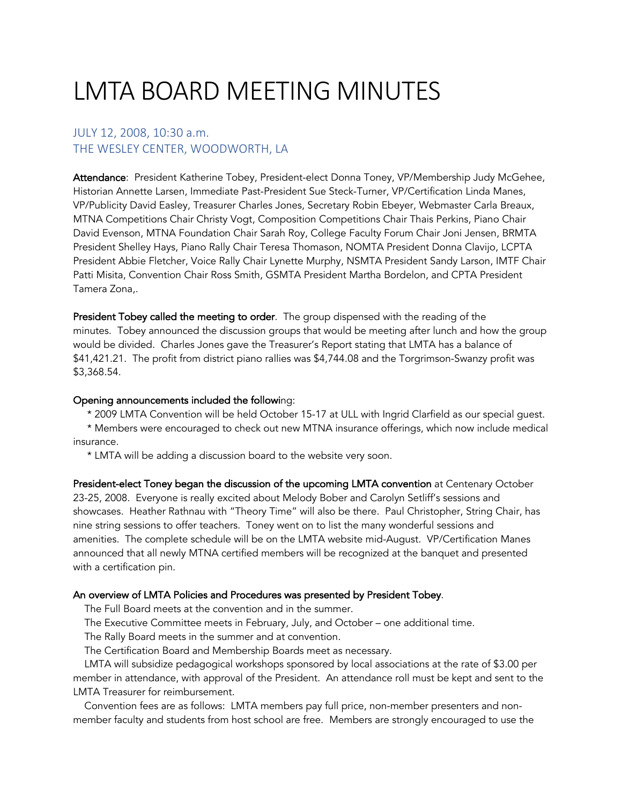# LMTA BOARD MEETING MINUTES

## JULY 12, 2008, 10:30 a.m. THE WESLEY CENTER, WOODWORTH, LA

Attendance: President Katherine Tobey, President-elect Donna Toney, VP/Membership Judy McGehee, Historian Annette Larsen, Immediate Past-President Sue Steck-Turner, VP/Certification Linda Manes, VP/Publicity David Easley, Treasurer Charles Jones, Secretary Robin Ebeyer, Webmaster Carla Breaux, MTNA Competitions Chair Christy Vogt, Composition Competitions Chair Thais Perkins, Piano Chair David Evenson, MTNA Foundation Chair Sarah Roy, College Faculty Forum Chair Joni Jensen, BRMTA President Shelley Hays, Piano Rally Chair Teresa Thomason, NOMTA President Donna Clavijo, LCPTA President Abbie Fletcher, Voice Rally Chair Lynette Murphy, NSMTA President Sandy Larson, IMTF Chair Patti Misita, Convention Chair Ross Smith, GSMTA President Martha Bordelon, and CPTA President Tamera Zona,.

President Tobey called the meeting to order. The group dispensed with the reading of the minutes. Tobey announced the discussion groups that would be meeting after lunch and how the group would be divided. Charles Jones gave the Treasurer's Report stating that LMTA has a balance of \$41,421.21. The profit from district piano rallies was \$4,744.08 and the Torgrimson-Swanzy profit was \$3,368.54.

### Opening announcements included the following:

\* 2009 LMTA Convention will be held October 15-17 at ULL with Ingrid Clarfield as our special guest.

 \* Members were encouraged to check out new MTNA insurance offerings, which now include medical insurance.

\* LMTA will be adding a discussion board to the website very soon.

President-elect Toney began the discussion of the upcoming LMTA convention at Centenary October 23-25, 2008. Everyone is really excited about Melody Bober and Carolyn Setliff's sessions and showcases. Heather Rathnau with "Theory Time" will also be there. Paul Christopher, String Chair, has nine string sessions to offer teachers. Toney went on to list the many wonderful sessions and amenities. The complete schedule will be on the LMTA website mid-August. VP/Certification Manes announced that all newly MTNA certified members will be recognized at the banquet and presented with a certification pin.

## An overview of LMTA Policies and Procedures was presented by President Tobey.

The Full Board meets at the convention and in the summer.

The Executive Committee meets in February, July, and October – one additional time.

The Rally Board meets in the summer and at convention.

The Certification Board and Membership Boards meet as necessary.

 LMTA will subsidize pedagogical workshops sponsored by local associations at the rate of \$3.00 per member in attendance, with approval of the President. An attendance roll must be kept and sent to the LMTA Treasurer for reimbursement.

 Convention fees are as follows: LMTA members pay full price, non-member presenters and nonmember faculty and students from host school are free. Members are strongly encouraged to use the